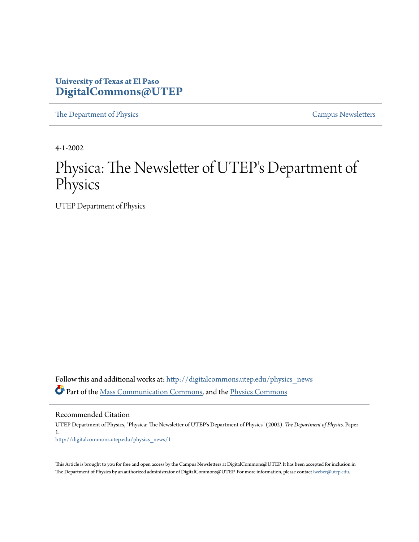### **University of Texas at El Paso [DigitalCommons@UTEP](http://digitalcommons.utep.edu?utm_source=digitalcommons.utep.edu%2Fphysics_news%2F1&utm_medium=PDF&utm_campaign=PDFCoverPages)**

[The Department of Physics](http://digitalcommons.utep.edu/physics_news?utm_source=digitalcommons.utep.edu%2Fphysics_news%2F1&utm_medium=PDF&utm_campaign=PDFCoverPages) [Campus Newsletters](http://digitalcommons.utep.edu/newsletters?utm_source=digitalcommons.utep.edu%2Fphysics_news%2F1&utm_medium=PDF&utm_campaign=PDFCoverPages)

4-1-2002

# Physica: The Newsletter of UTEP's Department of Physics

UTEP Department of Physics

Follow this and additional works at: [http://digitalcommons.utep.edu/physics\\_news](http://digitalcommons.utep.edu/physics_news?utm_source=digitalcommons.utep.edu%2Fphysics_news%2F1&utm_medium=PDF&utm_campaign=PDFCoverPages) Part of the [Mass Communication Commons,](http://network.bepress.com/hgg/discipline/334?utm_source=digitalcommons.utep.edu%2Fphysics_news%2F1&utm_medium=PDF&utm_campaign=PDFCoverPages) and the [Physics Commons](http://network.bepress.com/hgg/discipline/193?utm_source=digitalcommons.utep.edu%2Fphysics_news%2F1&utm_medium=PDF&utm_campaign=PDFCoverPages)

Recommended Citation

UTEP Department of Physics, "Physica: The Newsletter of UTEP's Department of Physics" (2002). *The Department of Physics.* Paper 1. [http://digitalcommons.utep.edu/physics\\_news/1](http://digitalcommons.utep.edu/physics_news/1?utm_source=digitalcommons.utep.edu%2Fphysics_news%2F1&utm_medium=PDF&utm_campaign=PDFCoverPages)

This Article is brought to you for free and open access by the Campus Newsletters at DigitalCommons@UTEP. It has been accepted for inclusion in The Department of Physics by an authorized administrator of DigitalCommons@UTEP. For more information, please contact [lweber@utep.edu](mailto:lweber@utep.edu).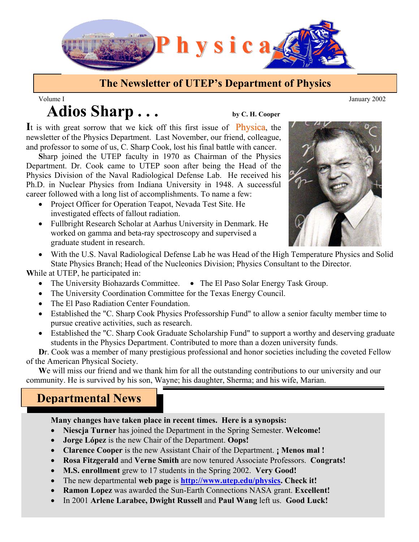

## **The Newsletter of UTEP's Department of Physics**

# Adios Sharp . . . by C. H. Cooper Volume I January 2002

It is with great sorrow that we kick off this first issue of **Physica**, the newsletter of the Physics Department. Last November, our friend, colleague, and professor to some of us, C. Sharp Cook, lost his final battle with cancer.

**S**harp joined the UTEP faculty in 1970 as Chairman of the Physics Department. Dr. Cook came to UTEP soon after being the Head of the Physics Division of the Naval Radiological Defense Lab. He received his Ph.D. in Nuclear Physics from Indiana University in 1948. A successful career followed with a long list of accomplishments. To name a few:

- Project Officer for Operation Teapot, Nevada Test Site. He investigated effects of fallout radiation.
- Fullbright Research Scholar at Aarhus University in Denmark. He worked on gamma and beta-ray spectroscopy and supervised a graduate student in research.



 • With the U.S. Naval Radiological Defense Lab he was Head of the High Temperature Physics and Solid State Physics Branch; Head of the Nucleonics Division; Physics Consultant to the Director.

**W**hile at UTEP, he participated in:

- The University Biohazards Committee. The El Paso Solar Energy Task Group.
- The University Coordination Committee for the Texas Energy Council.
- The El Paso Radiation Center Foundation.
- Established the "C. Sharp Cook Physics Professorship Fund" to allow a senior faculty member time to pursue creative activities, such as research.
- Established the "C. Sharp Cook Graduate Scholarship Fund" to support a worthy and deserving graduate students in the Physics Department. Contributed to more than a dozen university funds.

Dr. Cook was a member of many prestigious professional and honor societies including the coveted Fellow of the American Physical Society.

**W**e will miss our friend and we thank him for all the outstanding contributions to our university and our community. He is survived by his son, Wayne; his daughter, Sherma; and his wife, Marian.

# **Departmental News**

#### **Many changes have taken place in recent times. Here is a synopsis:**

- **Niescja Turner** has joined the Department in the Spring Semester. **Welcome!**
- **Jorge López** is the new Chair of the Department. **Oops!**
- **Clarence Cooper** is the new Assistant Chair of the Department. **¡ Menos mal !**
- **Rosa Fitzgerald** and **Verne Smith** are now tenured Associate Professors. **Congrats!**
- **M.S. enrollment** grew to 17 students in the Spring 2002. **Very Good!**
- The new departmental **web page** is **http://www.utep.edu/physics. Check it!**
- **Ramon Lopez** was awarded the Sun-Earth Connections NASA grant. **Excellent!**
- In 2001 **Arlene Larabee, Dwight Russell** and **Paul Wang** left us. **Good Luck!**